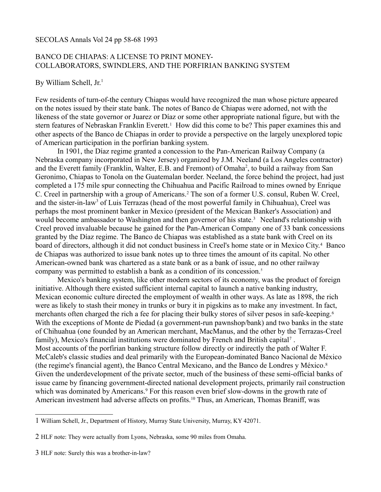SECOLAS Annals Vol 24 pp 58-68 1993

## BANCO DE CHIAPAS: A LICENSE TO PRINT MONEY-COLLABORATORS, SWINDLERS, AND THE PORFIRIAN BANKING SYSTEM

By William Schell,  $Jr<sup>1</sup>$  $Jr<sup>1</sup>$  $Jr<sup>1</sup>$ 

Few residents of turn-of-the century Chiapas would have recognized the man whose picture appeared on the notes issued by their state bank. The notes of Banco de Chiapas were adorned, not with the likeness of the state governor or Juarez or Díaz or some other appropriate national figure, but with the stern features of Nebraskan Franklin Everett.<sup>1</sup> How did this come to be? This paper examines this and other aspects of the Banco de Chiapas in order to provide a perspective on the largely unexplored topic of American participation in the porfirian banking system.

In 1901, the Díaz regime granted a concession to the Pan-American Railway Company (a Nebraska company incorporated in New Jersey) organized by J.M. Neeland (a Los Angeles contractor) and the Everett family (Franklin, Walter, E.B. and Fremont) of Omaha<sup>[2](#page-0-1)</sup>, to build a railway from San Geronimo, Chiapas to Tonola on the Guatemalan border. Neeland, the force behind the project, had just completed a 175 mile spur connecting the Chihuahua and Pacific Railroad to mines owned by Enrique C. Creel in partnership with a group of Americans.<sup>2</sup> The son of a former U.S. consul, Ruben W. Creel, and the sister-in-law<sup>[3](#page-0-2)</sup> of Luis Terrazas (head of the most powerful family in Chihuahua), Creel was perhaps the most prominent banker in Mexico (president of the Mexican Banker's Association) and would become ambassador to Washington and then governor of his state.<sup>3</sup> Neeland's relationship with Creel proved invaluable because he gained for the Pan-American Company one of 33 bank concessions granted by the Díaz regime. The Banco de Chiapas was established as a state bank with Creel on its board of directors, although it did not conduct business in Creel's home state or in Mexico City.<sup>4</sup> Banco de Chiapas was authorized to issue bank notes up to three times the amount of its capital. No other American-owned bank was chartered as a state bank or as a bank of issue, and no other railway company was permitted to establish a bank as a condition of its concession.<sup>5</sup>

Mexico's banking system, like other modern sectors of its economy, was the product of foreign initiative. Although there existed sufficient internal capital to launch a native banking industry, Mexican economic culture directed the employment of wealth in other ways. As late as 1898, the rich were as likely to stash their money in trunks or bury it in pigskins as to make any investment. In fact, merchants often charged the rich a fee for placing their bulky stores of silver pesos in safe-keeping.<sup>6</sup> With the exceptions of Monte de Piedad (a government-run pawnshop/bank) and two banks in the state of Chihuahua (one founded by an American merchant, MacManus, and the other by the Terrazas-Creel family), Mexico's financial institutions were dominated by French and British capital<sup>7</sup>. Most accounts of the porfirian banking structure follow directly or indirectly the path of Walter F. McCaleb's classic studies and deal primarily with the European-dominated Banco Nacional de México (the regime's financial agent), the Banco Central Mexicano, and the Banco de Londres y México.<sup>8</sup> Given the underdevelopment of the private sector, much of the business of these semi-official banks of issue came by financing government-directed national development projects, primarily rail construction which was dominated by Americans.<sup>9</sup> For this reason even brief slow-downs in the growth rate of American investment had adverse affects on profits.<sup>10</sup> Thus, an American, Thomas Braniff, was

<span id="page-0-0"></span><sup>1</sup> William Schell, Jr., Department of History, Murray State University, Murray, KY 42071.

<span id="page-0-1"></span><sup>2</sup> HLF note: They were actually from Lyons, Nebraska, some 90 miles from Omaha.

<span id="page-0-2"></span><sup>3</sup> HLF note: Surely this was a brother-in-law?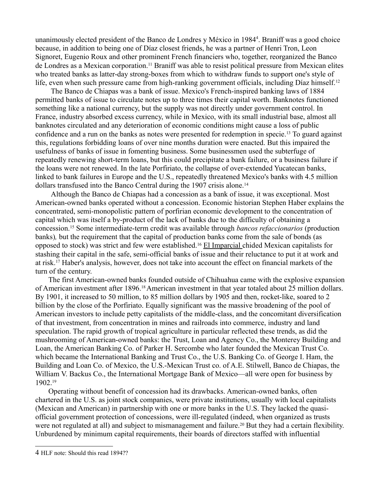unanimously elected president of the Banco de Londres y México in 198[4](#page-1-0)<sup>4</sup>. Braniff was a good choice because, in addition to being one of Díaz closest friends, he was a partner of Henri Tron, Leon Signoret, Eugenio Roux and other prominent French financiers who, together, reorganized the Banco de Londres as a Mexican corporation.11 Braniff was able to resist political pressure from Mexican elites who treated banks as latter-day strong-boxes from which to withdraw funds to support one's style of life, even when such pressure came from high-ranking government officials, including Díaz himself.<sup>12</sup>

The Banco de Chiapas was a bank of issue. Mexico's French-inspired banking laws of 1884 permitted banks of issue to circulate notes up to three times their capital worth. Banknotes functioned something like a national currency, but the supply was not directly under government control. In France, industry absorbed excess currency, while in Mexico, with its small industrial base, almost all banknotes circulated and any deterioration of economic conditions might cause a loss of public confidence and a run on the banks as notes were presented for redemption in specie.13 To guard against this, regulations forbidding loans of over nine months duration were enacted. But this impaired the usefulness of banks of issue in fomenting business. Some businessmen used the subterfuge of repeatedly renewing short-term loans, but this could precipitate a bank failure, or a business failure if the loans were not renewed. In the late Porfiriato, the collapse of over-extended Yucatecan banks, linked to bank failures in Europe and the U.S., repeatedly threatened Mexico's banks with 4.5 million dollars transfused into the Banco Central during the 1907 crisis alone.<sup>14</sup>

Although the Banco de Chiapas had a concession as a bank of issue, it was exceptional. Most American-owned banks operated without a concession. Economic historian Stephen Haber explains the concentrated, semi-monopolistic pattern of porfirian economic development to the concentration of capital which was itself a by-product of the lack of banks due to the difficulty of obtaining a concession.15 Some intermediate-term credit was available through *bancos refaccionarios* (production banks)*,* but the requirement that the capital of production banks come from the sale of bonds (as opposed to stock) was strict and few were established.<sup>16</sup> El Imparcial chided Mexican capitalists for stashing their capital in the safe, semi-official banks of issue and their reluctance to put it at work and at risk.17 Haber's analysis, however, does not take into account the effect on financial markets of the turn of the century.

The first American-owned banks founded outside of Chihuahua came with the explosive expansion of American investment after 1896.18 American investment in that year totaled about 25 million dollars. By 1901, it increased to 50 million, to 85 million dollars by 1905 and then, rocket-like, soared to 2 billion by the close of the Porfiriato. Equally significant was the massive broadening of the pool of American investors to include petty capitalists of the middle-class, and the concomitant diversification of that investment, from concentration in mines and railroads into commerce, industry and land speculation. The rapid growth of tropical agriculture in particular reflected these trends, as did the mushrooming of American-owned banks: the Trust, Loan and Agency Co., the Monterey Building and Loan, the American Banking Co. of Parker H. Sercombe who later founded the Mexican Trust Co. which became the International Banking and Trust Co., the U.S. Banking Co. of George I. Ham, the Building and Loan Co. of Mexico, the U.S.-Mexican Trust co. of A.E. Stilwell, Banco de Chiapas, the William V. Backus Co., the International Mortgage Bank of Mexico—all were open for business by 1902.<sup>19</sup>

Operating without benefit of concession had its drawbacks. American-owned banks, often chartered in the U.S. as joint stock companies, were private institutions, usually with local capitalists (Mexican and American) in partnership with one or more banks in the U.S. They lacked the quasiofficial government protection of concessions, were ill-regulated (indeed, when organized as trusts were not regulated at all) and subject to mismanagement and failure.<sup>20</sup> But they had a certain flexibility. Unburdened by minimum capital requirements, their boards of directors staffed with influential

<span id="page-1-0"></span><sup>4</sup> HLF note: Should this read 1894??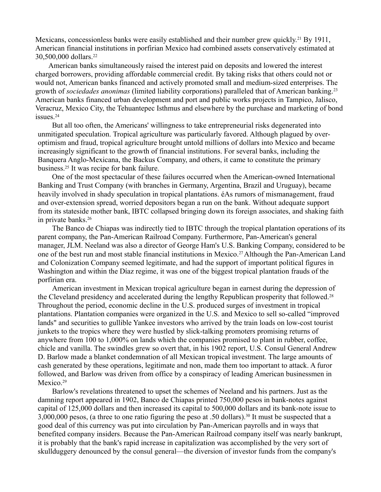Mexicans, concessionless banks were easily established and their number grew quickly.<sup>21</sup> By 1911, American financial institutions in porfirian Mexico had combined assets conservatively estimated at 30,500,000 dollars.<sup>22</sup>

American banks simultaneously raised the interest paid on deposits and lowered the interest charged borrowers, providing affordable commercial credit. By taking risks that others could not or would not, American banks financed and actively promoted small and medium-sized enterprises. The growth of *sociedades anonimas* (limited liability corporations) paralleled that of American banking.<sup>23</sup> American banks financed urban development and port and public works projects in Tampico, Jalisco, Veracruz, Mexico City, the Tehuantepec Isthmus and elsewhere by the purchase and marketing of bond issues<sup>24</sup>

But all too often, the Americans' willingness to take entrepreneurial risks degenerated into unmitigated speculation. Tropical agriculture was particularly favored. Although plagued by overoptimism and fraud, tropical agriculture brought untold millions of dollars into Mexico and became increasingly significant to the growth of financial institutions. For several banks, including the Banquera Anglo-Mexicana, the Backus Company, and others, it came to constitute the primary business.25 It was recipe for bank failure.

One of the most spectacular of these failures occurred when the American-owned International Banking and Trust Company (with branches in Germany, Argentina, Brazil and Uruguay), became heavily involved in shady speculation in tropical plantations. éAs rumors of mismanagement, fraud and over-extension spread, worried depositors began a run on the bank. Without adequate support from its stateside mother bank, IBTC collapsed bringing down its foreign associates, and shaking faith in private banks.<sup>26</sup>

The Banco de Chiapas was indirectly tied to IBTC through the tropical plantation operations of its parent company, the Pan-American Railroad Company. Furthermore, Pan-American's general manager, JLM. Neeland was also a director of George Ham's U.S. Banking Company, considered to be one of the best run and most stable financial institutions in Mexico.27 Although the Pan-American Land and Colonization Company seemed legitimate, and had the support of important political figures in Washington and within the Díaz regime, it was one of the biggest tropical plantation frauds of the porfirian era.

American investment in Mexican tropical agriculture began in earnest during the depression of the Cleveland presidency and accelerated during the lengthy Republican prosperity that followed.<sup>28</sup> Throughout the period, economic decline in the U.S. produced surges of investment in tropical plantations. Plantation companies were organized in the U.S. and Mexico to sell so-called "improved lands" and securities to gullible Yankee investors who arrived by the train loads on low-cost tourist junkets to the tropics where they were hustled by slick-talking promoters promising returns of anywhere from 100 to 1,000% on lands which the companies promised to plant in rubber, coffee, chicle and vanilla. The swindles grew so overt that, in his 1902 report, U.S. Consul General Andrew D. Barlow made a blanket condemnation of all Mexican tropical investment. The large amounts of cash generated by these operations, legitimate and non, made them too important to attack. A furor followed, and Barlow was driven from office by a conspiracy of leading American businessmen in Mexico.<sup>29</sup>

Barlow's revelations threatened to upset the schemes of Neeland and his partners. Just as the damning report appeared in 1902, Banco de Chiapas printed 750,000 pesos in bank-notes against capital of 125,000 dollars and then increased its capital to 500,000 dollars and its bank-note issue to 3,000,000 pesos, (a three to one ratio figuring the peso at .50 dollars).30 It must be suspected that a good deal of this currency was put into circulation by Pan-American payrolls and in ways that benefited company insiders. Because the Pan-American Railroad company itself was nearly bankrupt, it is probably that the bank's rapid increase in capitalization was accomplished by the very sort of skullduggery denounced by the consul general—the diversion of investor funds from the company's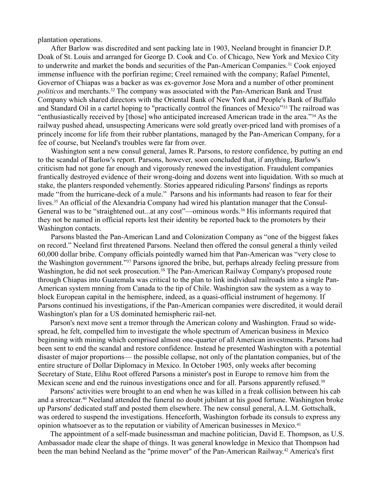plantation operations.

After Barlow was discredited and sent packing late in 1903, Neeland brought in financier D.P. Doak of St. Louis and arranged for George D. Cook and Co. of Chicago, New York and Mexico City to underwrite and market the bonds and securities of the Pan-American Companies.31 Cook enjoyed immense influence with the porfirian regime; Creel remained with the company; Rafael Pimentel, Governor of Chiapas was a backer as was ex-governor Jose Mora and a number of other prominent *politicos* and merchants.32 The company was associated with the Pan-American Bank and Trust Company which shared directors with the Oriental Bank of New York and People's Bank of Buffalo and Standard Oil in a cartel hoping to "practically control the finances of Mexico"33 The railroad was "enthusiastically received by [those] who anticipated increased American trade in the area."34 As the railway pushed ahead, unsuspecting Americans were sold greatly over-priced land with promises of a princely income for life from their rubber plantations, managed by the Pan-American Company, for a fee of course, but Neeland's troubles were far from over.

Washington sent a new consul general, James R. Parsons, to restore confidence, by putting an end to the scandal of Barlow's report. Parsons, however, soon concluded that, if anything, Barlow's criticism had not gone far enough and vigorously renewed the investigation. Fraudulent companies frantically destroyed evidence of their wrong-doing and dozens went into liquidation. With so much at stake, the planters responded vehemently. Stories appeared ridiculing Parsons' findings as reports made "from the hurricane-deck of a mule." Parsons and his informants had reason to fear for their lives.35 An official of the Alexandria Company had wired his plantation manager that the Consul-General was to be "straightened out...at any cost"—ominous words.<sup>36</sup> His informants required that they not be named in official reports lest their identity be reported back to the promoters by their Washington contacts.

Parsons blasted the Pan-American Land and Colonization Company as "one of the biggest fakes on record." Neeland first threatened Parsons. Neeland then offered the consul general a thinly veiled 60,000 dollar bribe. Company officials pointedly warned him that Pan-American was "very close to the Washington government."37 Parsons ignored the bribe, but, perhaps already feeling pressure from Washington, he did not seek prosecution.<sup>3S</sup> The Pan-American Railway Company's proposed route through Chiapas into Guatemala was critical to the plan to link individual railroads into a single Pan-American system mnning from Canada to the tip of Chile. Washington saw the system as a way to block European capital in the hemisphere, indeed, as a quasi-official instrument of hegemony. If Parsons continued his investigations, if the Pan-American companies were discredited, it would derail Washington's plan for a US dominated hemispheric rail-net.

Parson's next move sent a tremor through the American colony and Washington. Fraud so widespread, he felt, compelled him to investigate the whole spectrum of American business in Mexico beginning with mining which comprised almost one-quarter of all American investments. Parsons had been sent to end the scandal and restore confidence. Instead he presented Washington with a potential disaster of major proportions— the possible collapse, not only of the plantation companies, but of the entire structure of Dollar Diplomacy in Mexico. In October 1905, only weeks after becoming Secretary of State, Elihu Root offered Parsons a minister's post in Europe to remove him from the Mexican scene and end the ruinous investigations once and for all. Parsons apparently refused.<sup>39</sup>

Parsons' activities were brought to an end when he was killed in a freak collision between his cab and a streetcar.40 Neeland attended the funeral no doubt jubilant at his good fortune. Washington broke up Parsons' dedicated staff and posted them elsewhere. The new consul general, A.L.M. Gottschalk, was ordered to suspend the investigations. Henceforth, Washington forbade its consuls to express any opinion whatsoever as to the reputation or viability of American businesses in Mexico.<sup>41</sup>

The appointment of a self-made businessman and machine politician, David E. Thompson, as U.S. Ambassador made clear the shape of things. It was general knowledge in Mexico that Thompson had been the man behind Neeland as the "prime mover" of the Pan-American Railway.42 America's first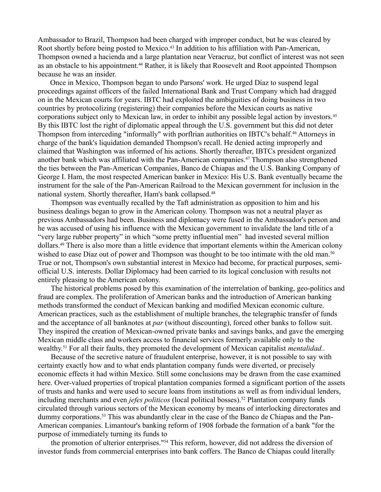Ambassador to Brazil, Thompson had been charged with improper conduct, but he was cleared by Root shortly before being posted to Mexico.<sup>43</sup> In addition to his affiliation with Pan-American, Thompson owned a hacienda and a large plantation near Veracruz, but conflict of interest was not seen as an obstacle to his appointment.<sup>44</sup> Rather, it is likely that Roosevelt and Root appointed Thompson because he was an insider.

Once in Mexico, Thompson began to undo Parsons' work. He urged Díaz to suspend legal proceedings against officers of the failed International Bank and Trust Company which had dragged on in the Mexican courts for years. IBTC had exploited the ambiguities of doing business in two countries by protocolizing (registering) their companies before the Mexican courts as native corporations subject only to Mexican law, in order to inhibit any possible legal action by investors.<sup>45</sup> By this IBTC lost the right of diplomatic appeal through the U.S. government but this did not deter Thompson from interceding "informally" with porflrian authorities on IBTC's behalf.46 Attorneys in charge of the bank's liquidation demanded Thompson's recall. He denied acting improperly and claimed that Washington was informed of his actions. Shortly thereafter, IBTCs president organized another bank which was affiliated with the Pan-American companies.47 Thompson also strengthened the ties between the Pan-American Companies, Banco de Chiapas and the U.S. Banking Company of George I. Ham, the most respected American banker in Mexico: His U.S. Bank eventually became the instrument for the sale of the Pan-American Railroad to the Mexican government for inclusion in the national system. Shortly thereafter, Ham's bank collapsed.<sup>48</sup>

Thompson was eventually recalled by the Taft administration as opposition to him and his business dealings began to grow in the American colony. Thompson was not a neutral player as previous Ambassadors had been. Business and diplomacy were fused in the Ambassador's person and he was accused of using his influence with the Mexican government to invalidate the land title of a "very large rubber property" in which "some pretty influential men" had invested several million dollars.49 There is also more than a little evidence that important elements within the American colony wished to ease Díaz out of power and Thompson was thought to be too intimate with the old man.<sup>50</sup> True or not, Thompson's own substantial interest in Mexico had become, for practical purposes, semiofficial U.S. interests. Dollar Diplomacy had been carried to its logical conclusion with results not entirely pleasing to the American colony.

The historical problems posed by this examination of the interrelation of banking, geo-politics and fraud are complex. The proliferation of American banks and the introduction of American banking methods transformed the conduct of Mexican banking and modified Mexican economic culture. American practices, such as the establishment of multiple branches, the telegraphic transfer of funds and the acceptance of all banknotes at *par* (without discounting), forced other banks to follow suit. They inspired the creation of Mexican-owned private banks and savings banks, and gave the emerging Mexican middle class and workers access to financial services formerly available only to the wealthy.<sup>51</sup> For all their faults, they promoted the development of Mexican capitalist *mentalidad*..

Because of the secretive nature of fraudulent enterprise, however, it is not possible to say with certainty exactly how and to what ends plantation company funds were diverted, or precisely economic effects it had within Mexico. Still some conclusions may be drawn from the case examined here. Over-valued properties of tropical plantation companies formed a significant portion of the assets of trusts and hanks and were used to secure loans from institutions as well as from individual lenders, including merchants and even *jefes politicos* (local political bosses).<sup>52</sup> Plantation company funds circulated through various sectors of the Mexican economy by means of interlocking directorates and dummy corporations.<sup>53</sup> This was abundantly clear in the case of the Banco de Chiapas and the Pan-American companies. Limantour's banking reform of 1908 forbade the formation of a bank "for the purpose of immediately turning its funds to

the promotion of ulterior enterprises."54 This reform, however, did not address the diversion of investor funds from commercial enterprises into bank coffers. The Banco de Chiapas could literally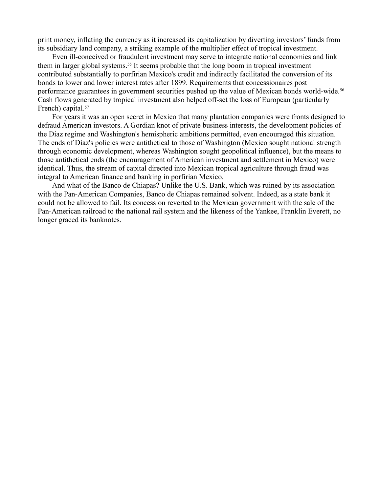print money, inflating the currency as it increased its capitalization by diverting investors' funds from its subsidiary land company, a striking example of the multiplier effect of tropical investment.

Even ill-conceived or fraudulent investment may serve to integrate national economies and link them in larger global systems.<sup>55</sup> It seems probable that the long boom in tropical investment contributed substantially to porfirian Mexico's credit and indirectly facilitated the conversion of its bonds to lower and lower interest rates after 1899. Requirements that concessionaires post performance guarantees in government securities pushed up the value of Mexican bonds world-wide.<sup>56</sup> Cash flows generated by tropical investment also helped off-set the loss of European (particularly French) capital.<sup>57</sup>

For years it was an open secret in Mexico that many plantation companies were fronts designed to defraud American investors. A Gordian knot of private business interests, the development policies of the Díaz regime and Washington's hemispheric ambitions permitted, even encouraged this situation. The ends of Díaz's policies were antithetical to those of Washington (Mexico sought national strength through economic development, whereas Washington sought geopolitical influence), but the means to those antithetical ends (the encouragement of American investment and settlement in Mexico) were identical. Thus, the stream of capital directed into Mexican tropical agriculture through fraud was integral to American finance and banking in porfirian Mexico.

And what of the Banco de Chiapas? Unlike the U.S. Bank, which was ruined by its association with the Pan-American Companies, Banco de Chiapas remained solvent. Indeed, as a state bank it could not be allowed to fail. Its concession reverted to the Mexican government with the sale of the Pan-American railroad to the national rail system and the likeness of the Yankee, Franklin Everett, no longer graced its banknotes.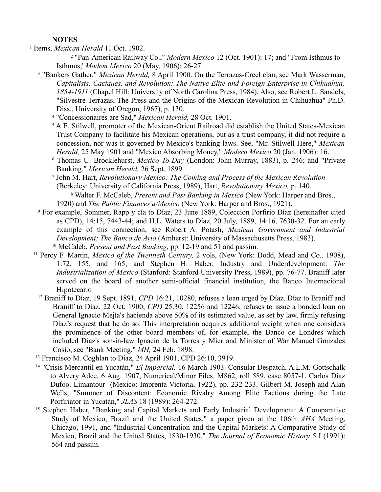## **NOTES**

1 Items, *Mexican Herald* 11 Oct. 1902.

2 "Pan-American Railway Co.," *Modern Mexico* 12 (Oct. 1901): 17; and "From Isthmus to Isthmus;' *Modem Mexico* 20 (May, 1906): 26-27.

- <sup>3</sup> "Bankers Gather," *Mexican Herald*, 8 April 1900. On the Terrazas-Creel clan, see Mark Wasserman, *Capitalists, Caciques, and Revolution: The Native Elite and Foreign Enterprise in Chihuahua, 1854-1911* (Chapel Hill: University of North Carolina Press, 1984). Also, see Robert L. Sandels, "Silvestre Terrazas, The Press and the Origins of the Mexican Revolution in Chihuahua" Ph.D. Diss., University of Oregon, 1967), p. 130.
	- 4 "Concessionaires are Sad," *Mexican Herald,* 28 Oct. 1901.
	- <sup>5</sup> A.E. Stilwell, promoter of the Mexican-Orient Railroad did establish the United States-Mexican Trust Company to facilitate his Mexican operations, but as a trust company, it did not require a concession, nor was it governed by Mexico's banking laws. See, "Mr. Stilwell Here," *Mexican Herald,* 25 May 1901 and "Mexico Absorbing Money," *Modern Mexico* 20 (Jan. 1906): 16.
	- 6 Thomas U. Brocklehurst, *Mexico To-Day* (London: John Murray, 1883), p. 246; and "Private Banking," *Mexican Herald,* 26 Sept. 1899.
	- 7 John M. Hart, *Revolutionary Mexico: The Coming and Process of the Mexican Revolution*  (Berkeley: University of California Press, 1989), Hart, *Revolutionary Mexico,* p. 140. 8 Walter F. McCaleb, *Present and Past Banking in Mexico* (New York: Harper and Bros.,
	- 1920) and *The Public Finances a/Mexico* (New York: Harper and Bros., 1921).
- 9 For example, Sommer, Rapp y cía to Díaz, 23 June 1889, Coleccion Porfirio Díaz (hereinafter cited as CPD), 14:15, 7443-44; and H.L. Waters to Díaz, 20 July, 1889, 14:16, 7630-32. For an early example of this connection, see Robert A. Potash, *Mexican Government and Industrial Development: The Banco de Avio* (Amherst: University of Massachusetts Press, 1983).
- <sup>10</sup> McCaleb, *Present and Past Banking,* pp. 12-19 and 51 and passim.
- <sup>11</sup> Percy F. Martin, *Mexico of the Twentieth Century,* 2 vols, (New York: Dodd, Mead and Co.. 1908), 1:72, 155, and 165; and Stephen H. Haber, Industry and Underdevelopment: *The Industrialization of Mexico* (Stanford: Stanford University Press, 1989), pp. 76-77. Braniff later served on the board of another semi-official financial institution, the Banco Internacional Hipotecario
	- <sup>12</sup> Braniff to Díaz, 19 Sept. 1891, *CPD* 16:21, 10280, refuses a loan urged by Díaz. Díaz to Braniff and Braniff to Díaz, 22 Oct. 1900, *CPD* 25:30, 12256 and 12246, refuses to issue a bonded loan on General Ignacio Mejía's hacienda above 50% of its estimated value, as set by law, firmly refusing Díaz's request that he do so. This interpretation acquires additional weight when one considers the prominence of the other board members of, for example, the Banco de Londres which included Díaz's son-in-law Ignacio de la Torres y Mier and Minister of War Manuel Gonzales Cosío, see "Bank Meeting," *MH,* 24 Feb. 1898.
- <sup>13</sup> Francisco M. Coghlan to Díaz, 24 April 1901, CPD 26:10, 3919.
- <sup>14</sup> "Crisis Mercantil en Yucatán," *El Imparcial,* 16 March 1903. Consular Despatch, A.L.M. Gottschalk to Alvery Adee. 6 Aug. 1907, Numerical/Minor Files. M862, roll 589, case 8057-1. Carlos Díaz Dufoo. Limantour (Mexico: Imprenta Victoria, 1922), pp. 232-233. Gilbert M. Joseph and Alan Wells, "Summer of Discontent: Economic Rivalry Among Elite Factions during the Late Porfiriator in Yucatán," *JLAS* 18 (1989): 264-272.
- <sup>15</sup> Stephen Haber, "Banking and Capital Markets and Early Industrial Development: A Comparative Study of Mexico, Brazil and the United States," a paper given at the 106th *AHA* Meeting, Chicago, 1991, and "Industrial Concentration and the Capital Markets: A Comparative Study of Mexico, Brazil and the United States, 1830-1930," *The Journal of Economic History* 5 I (1991): 564 and passim.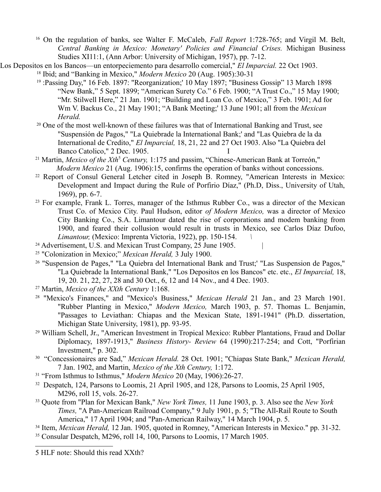- <sup>16</sup> On the regulation of banks, see Walter F. McCaleb, *Fall Report* 1:728-765; and Virgil M. Belt, *Central Banking in Mexico: Monetary' Policies and Financial Crises.* Michigan Business Studies XI11:1, (Ann Arbor: University of Michigan, 1957), pp. 7-12.
- "Los Depositos en los Bancos—un entorpeciemento para desarrollo comercial," *El Imparcial.* 22 Oct 1903. <sup>18</sup> Ibid; and "Banking in Mexico," *Modern Mexico* 20 (Aug. 1905):30-31
	- <sup>19</sup> :Passing Day," 16 Feb. 1897: "Reorganization;' 10 May 1897; "Business Gossip" 13 March 1898 "New Bank," 5 Sept. 1899; "American Surety Co." 6 Feb. 1900; "A Trust Co.," 15 May 1900; "Mr. Stilwell Here," 21 Jan. 1901; "Building and Loan Co. of Mexico," 3 Feb. 1901; Ad for Wm V. Backus Co., 21 May 1901; "A Bank Meeting;' 13 June 1901; all from the *Mexican Herald.*
	- <sup>20</sup> One of the most well-known of these failures was that of International Banking and Trust, see "Suspensión de Pagos," "La Quiebrade la International Bank;' and "Las Quiebra de la da International de Credito," *El Imparcial,* 18, 21, 22 and 27 Oct 1903. Also "La Quiebra del Banco Catolico," 2 Dec. 1905.
	- <sup>21</sup> Martin, *Mexico of the Xth<sup>[5](#page-7-0)</sup> Century*, 1:175 and passim, "Chinese-American Bank at Torreón," *Modern Mexico* 21 (Aug. 1906):15, confirms the operation of banks without concessions.
	- <sup>22</sup> Report of Consul General Letcher cited in Joseph B. Romney, "American Interests in Mexico: Development and Impact during the Rule of Porfirio Díaz," (Ph.D, Diss., University of Utah, 1969), pp. 6-7.
	- <sup>23</sup> For example, Frank L. Torres, manager of the Isthmus Rubber Co., was a director of the Mexican Trust Co. of Mexico City. Paul Hudson, editor *of Modern Mexico,* was a director of Mexico City Banking Co., S.A. Limantour dated the rise of corporations and modem banking from 1900, and feared their collusion would result in trusts in Mexico, see Carlos Díaz Dufoo, *Limantour,* (Mexico: Imprenta Victoria, 1922), pp. 150-154. *\*
	- <sup>24</sup> Advertisement, U.S. and Mexican Trust Company, 25 June 1905.
	- <sup>25</sup> "Colonization in Mexico;" *Mexican Herald,* 3 July 1900.
	- <sup>26</sup> "Suspension de Pages," "La Quiebra del International Bank and Trust;' "Las Suspension de Pagos," "La Quiebrade la International Bank," "Los Depositos en los Bancos" etc. etc., *El Imparcial,* 18, 19, 20. 21, 22, 27, 28 and 30 Oct., 6, 12 and 14 Nov., and 4 Dec. 1903.
	- <sup>27</sup> Martin, *Mexico of the XXth Century* 1:168.
	- <sup>28</sup> "Mexico's Finances," and "Mexico's Business," *Mexican Herald* 21 Jan., and 23 March 1901. "Rubber Planting in Mexico," *Modern Mexico,* March 1903, p. 57. Thomas L. Benjamin, "Passages to Leviathan: Chiapas and the Mexican State, 1891-1941" (Ph.D. dissertation, Michigan State University, 1981), pp. 93-95.
	- <sup>29</sup> William Schell, Jr., "American Investment in Tropical Mexico: Rubber Plantations, Fraud and Dollar Diplomacy, 1897-1913," *Business History- Review* 64 (1990):217-254; and Cott, "Porfirian Investment," p. 302.
	- <sup>30</sup> "Concessionaires are Sad," *Mexican Herald.* 28 Oct. 1901; "Chiapas State Bank," *Mexican Herald,* 7 Jan. 1902, and Martin, *Mexico of the Xth Century,* 1:172.
	- <sup>31</sup> "From Isthmus to Isthmus," *Modern Mexico* 20 (May, 1906):26-27.
	- <sup>32</sup> Despatch, 124, Parsons to Loomis, 21 April 1905, and 128, Parsons to Loomis, 25 April 1905, M296, roll 15, vols. 26-27.
	- <sup>33</sup> Quote from "Plan for Mexican Bank," *New York Times,* 11 June 1903, p. 3. Also see the *New York Times,* "A Pan-American Railroad Company," 9 July 1901, p. 5; "The All-Rail Route to South America," 17 April 1904; and "Pan-American Railway," 14 March 1904, p. 5.
	- <sup>34</sup> Item, *Mexican Herald,* 12 Jan. 1905, quoted in Romney, "American Interests in Mexico." pp. 31-32. <sup>35</sup> Consular Despatch, M296, roll 14, 100, Parsons to Loomis, 17 March 1905.

<span id="page-7-0"></span><sup>5</sup> HLF note: Should this read XXth?